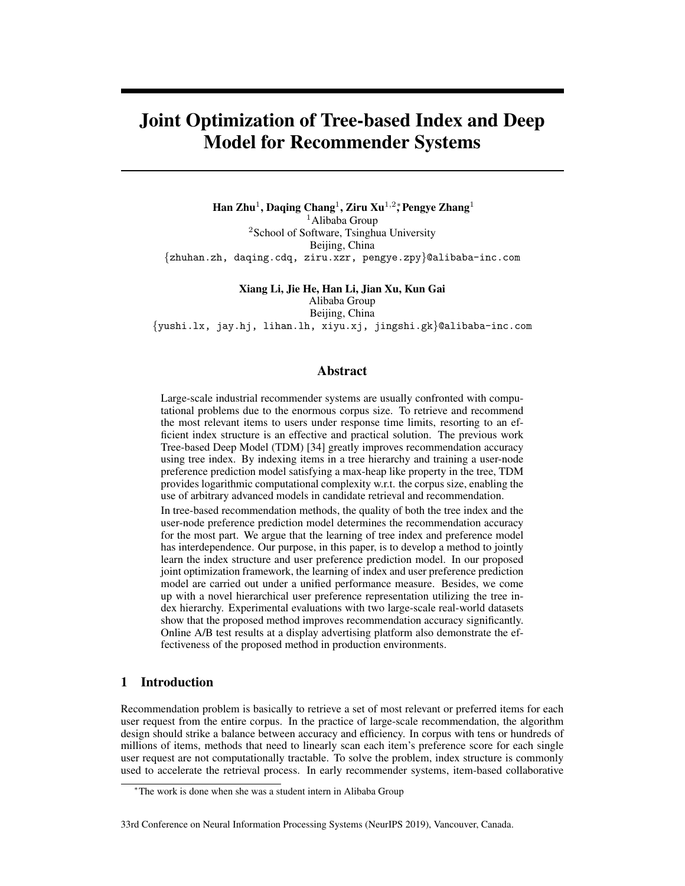# Joint Optimization of Tree-based Index and Deep Model for Recommender Systems

Han Zhu<sup>1</sup>, Daqing Chang<sup>1</sup>, Ziru Xu<sup>1,2</sup>\*, Pengye Zhang<sup>1</sup> <sup>1</sup>Alibaba Group <sup>2</sup>School of Software, Tsinghua University Beijing, China {zhuhan.zh, daqing.cdq, ziru.xzr, pengye.zpy}@alibaba-inc.com

Xiang Li, Jie He, Han Li, Jian Xu, Kun Gai

Alibaba Group

Beijing, China {yushi.lx, jay.hj, lihan.lh, xiyu.xj, jingshi.gk}@alibaba-inc.com

# Abstract

Large-scale industrial recommender systems are usually confronted with computational problems due to the enormous corpus size. To retrieve and recommend the most relevant items to users under response time limits, resorting to an efficient index structure is an effective and practical solution. The previous work Tree-based Deep Model (TDM) [34] greatly improves recommendation accuracy using tree index. By indexing items in a tree hierarchy and training a user-node preference prediction model satisfying a max-heap like property in the tree, TDM provides logarithmic computational complexity w.r.t. the corpus size, enabling the use of arbitrary advanced models in candidate retrieval and recommendation.

In tree-based recommendation methods, the quality of both the tree index and the user-node preference prediction model determines the recommendation accuracy for the most part. We argue that the learning of tree index and preference model has interdependence. Our purpose, in this paper, is to develop a method to jointly learn the index structure and user preference prediction model. In our proposed joint optimization framework, the learning of index and user preference prediction model are carried out under a unified performance measure. Besides, we come up with a novel hierarchical user preference representation utilizing the tree index hierarchy. Experimental evaluations with two large-scale real-world datasets show that the proposed method improves recommendation accuracy significantly. Online A/B test results at a display advertising platform also demonstrate the effectiveness of the proposed method in production environments.

# 1 Introduction

Recommendation problem is basically to retrieve a set of most relevant or preferred items for each user request from the entire corpus. In the practice of large-scale recommendation, the algorithm design should strike a balance between accuracy and efficiency. In corpus with tens or hundreds of millions of items, methods that need to linearly scan each item's preference score for each single user request are not computationally tractable. To solve the problem, index structure is commonly used to accelerate the retrieval process. In early recommender systems, item-based collaborative

#### 33rd Conference on Neural Information Processing Systems (NeurIPS 2019), Vancouver, Canada.

<sup>∗</sup>The work is done when she was a student intern in Alibaba Group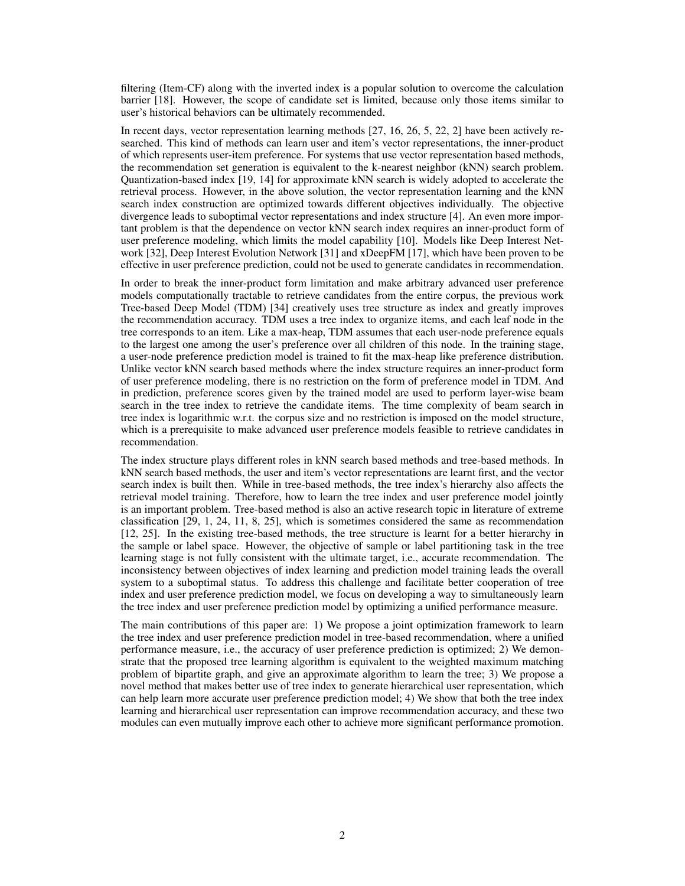filtering (Item-CF) along with the inverted index is a popular solution to overcome the calculation barrier [18]. However, the scope of candidate set is limited, because only those items similar to user's historical behaviors can be ultimately recommended.

In recent days, vector representation learning methods [27, 16, 26, 5, 22, 2] have been actively researched. This kind of methods can learn user and item's vector representations, the inner-product of which represents user-item preference. For systems that use vector representation based methods, the recommendation set generation is equivalent to the k-nearest neighbor (kNN) search problem. Quantization-based index [19, 14] for approximate kNN search is widely adopted to accelerate the retrieval process. However, in the above solution, the vector representation learning and the kNN search index construction are optimized towards different objectives individually. The objective divergence leads to suboptimal vector representations and index structure [4]. An even more important problem is that the dependence on vector kNN search index requires an inner-product form of user preference modeling, which limits the model capability [10]. Models like Deep Interest Network [32], Deep Interest Evolution Network [31] and xDeepFM [17], which have been proven to be effective in user preference prediction, could not be used to generate candidates in recommendation.

In order to break the inner-product form limitation and make arbitrary advanced user preference models computationally tractable to retrieve candidates from the entire corpus, the previous work Tree-based Deep Model (TDM) [34] creatively uses tree structure as index and greatly improves the recommendation accuracy. TDM uses a tree index to organize items, and each leaf node in the tree corresponds to an item. Like a max-heap, TDM assumes that each user-node preference equals to the largest one among the user's preference over all children of this node. In the training stage, a user-node preference prediction model is trained to fit the max-heap like preference distribution. Unlike vector kNN search based methods where the index structure requires an inner-product form of user preference modeling, there is no restriction on the form of preference model in TDM. And in prediction, preference scores given by the trained model are used to perform layer-wise beam search in the tree index to retrieve the candidate items. The time complexity of beam search in tree index is logarithmic w.r.t. the corpus size and no restriction is imposed on the model structure, which is a prerequisite to make advanced user preference models feasible to retrieve candidates in recommendation.

The index structure plays different roles in kNN search based methods and tree-based methods. In kNN search based methods, the user and item's vector representations are learnt first, and the vector search index is built then. While in tree-based methods, the tree index's hierarchy also affects the retrieval model training. Therefore, how to learn the tree index and user preference model jointly is an important problem. Tree-based method is also an active research topic in literature of extreme classification [29, 1, 24, 11, 8, 25], which is sometimes considered the same as recommendation [12, 25]. In the existing tree-based methods, the tree structure is learnt for a better hierarchy in the sample or label space. However, the objective of sample or label partitioning task in the tree learning stage is not fully consistent with the ultimate target, i.e., accurate recommendation. The inconsistency between objectives of index learning and prediction model training leads the overall system to a suboptimal status. To address this challenge and facilitate better cooperation of tree index and user preference prediction model, we focus on developing a way to simultaneously learn the tree index and user preference prediction model by optimizing a unified performance measure.

The main contributions of this paper are: 1) We propose a joint optimization framework to learn the tree index and user preference prediction model in tree-based recommendation, where a unified performance measure, i.e., the accuracy of user preference prediction is optimized; 2) We demonstrate that the proposed tree learning algorithm is equivalent to the weighted maximum matching problem of bipartite graph, and give an approximate algorithm to learn the tree; 3) We propose a novel method that makes better use of tree index to generate hierarchical user representation, which can help learn more accurate user preference prediction model; 4) We show that both the tree index learning and hierarchical user representation can improve recommendation accuracy, and these two modules can even mutually improve each other to achieve more significant performance promotion.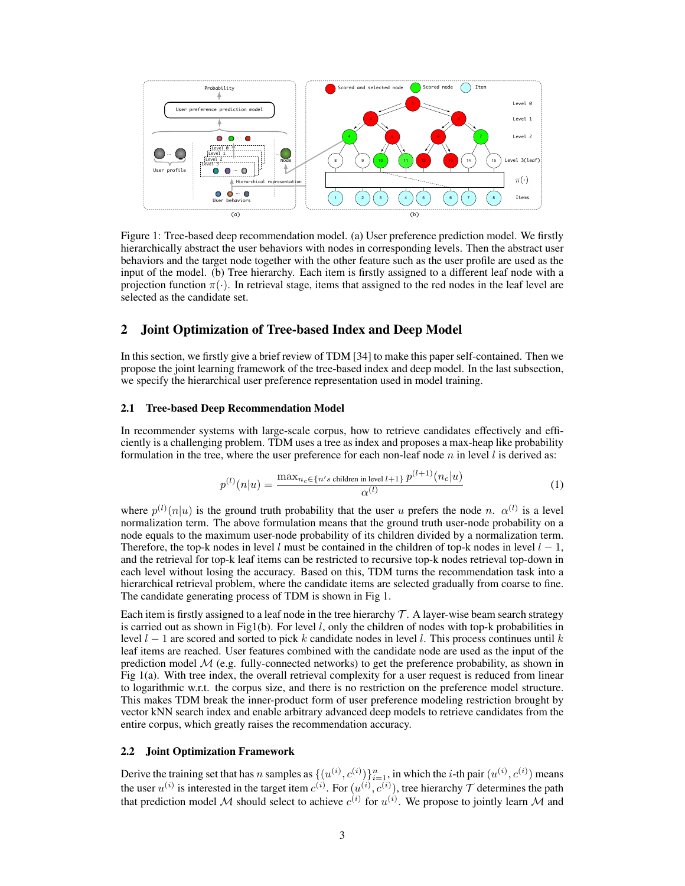

Figure 1: Tree-based deep recommendation model. (a) User preference prediction model. We firstly hierarchically abstract the user behaviors with nodes in corresponding levels. Then the abstract user behaviors and the target node together with the other feature such as the user profile are used as the input of the model. (b) Tree hierarchy. Each item is firstly assigned to a different leaf node with a projection function  $\pi(\cdot)$ . In retrieval stage, items that assigned to the red nodes in the leaf level are selected as the candidate set.

# 2 Joint Optimization of Tree-based Index and Deep Model

In this section, we firstly give a brief review of TDM [34] to make this paper self-contained. Then we propose the joint learning framework of the tree-based index and deep model. In the last subsection, we specify the hierarchical user preference representation used in model training.

#### 2.1 Tree-based Deep Recommendation Model

In recommender systems with large-scale corpus, how to retrieve candidates effectively and efficiently is a challenging problem. TDM uses a tree as index and proposes a max-heap like probability formulation in the tree, where the user preference for each non-leaf node n in level l is derived as:

$$
p^{(l)}(n|u) = \frac{\max_{n_c \in \{n's \text{ children in level } l+1\}} p^{(l+1)}(n_c|u)}{\alpha^{(l)}}\tag{1}
$$

where  $p^{(l)}(n|u)$  is the ground truth probability that the user u prefers the node n.  $\alpha^{(l)}$  is a level normalization term. The above formulation means that the ground truth user-node probability on a node equals to the maximum user-node probability of its children divided by a normalization term. Therefore, the top-k nodes in level l must be contained in the children of top-k nodes in level  $l - 1$ , and the retrieval for top-k leaf items can be restricted to recursive top-k nodes retrieval top-down in each level without losing the accuracy. Based on this, TDM turns the recommendation task into a hierarchical retrieval problem, where the candidate items are selected gradually from coarse to fine. The candidate generating process of TDM is shown in Fig 1.

Each item is firstly assigned to a leaf node in the tree hierarchy  $\mathcal{T}$ . A layer-wise beam search strategy is carried out as shown in Fig1(b). For level  $l$ , only the children of nodes with top-k probabilities in level  $l - 1$  are scored and sorted to pick k candidate nodes in level l. This process continues until k leaf items are reached. User features combined with the candidate node are used as the input of the prediction model  $M$  (e.g. fully-connected networks) to get the preference probability, as shown in Fig 1(a). With tree index, the overall retrieval complexity for a user request is reduced from linear to logarithmic w.r.t. the corpus size, and there is no restriction on the preference model structure. This makes TDM break the inner-product form of user preference modeling restriction brought by vector kNN search index and enable arbitrary advanced deep models to retrieve candidates from the entire corpus, which greatly raises the recommendation accuracy.

### 2.2 Joint Optimization Framework

Derive the training set that has n samples as  $\{(u^{(i)}, c^{(i)})\}_{i=1}^n$ , in which the *i*-th pair  $(u^{(i)}, c^{(i)})$  means the user  $u^{(i)}$  is interested in the target item  $c^{(i)}$ . For  $(u^{(i)}, c^{(i)})$ , tree hierarchy  $\mathcal T$  determines the path that prediction model M should select to achieve  $c^{(i)}$  for  $u^{(i)}$ . We propose to jointly learn M and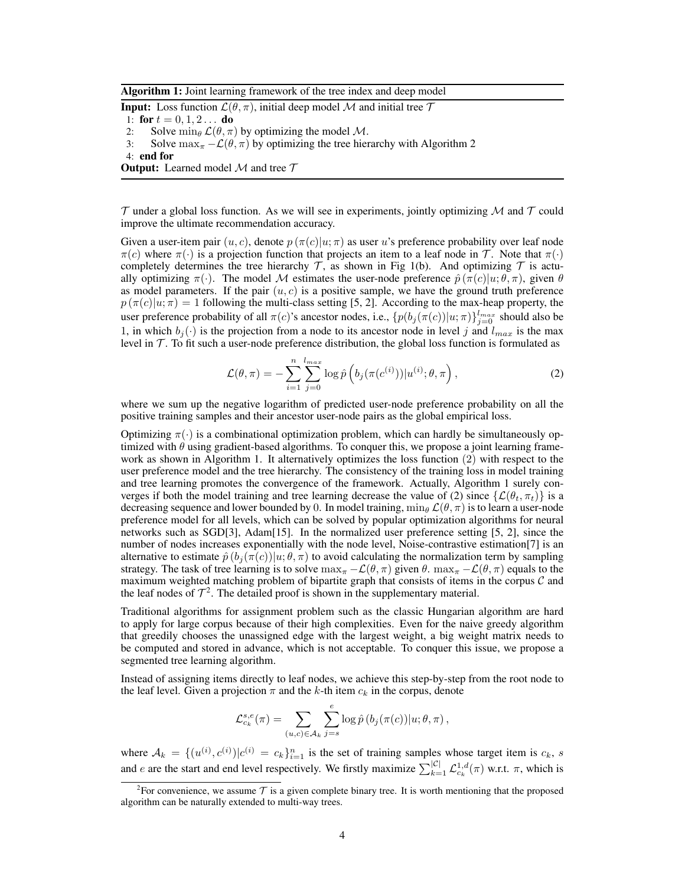Algorithm 1: Joint learning framework of the tree index and deep model

**Input:** Loss function  $\mathcal{L}(\theta, \pi)$ , initial deep model M and initial tree  $\mathcal{T}$ 

1: for  $t = 0, 1, 2...$  do

2: Solve  $\min_{\theta} \mathcal{L}(\theta, \pi)$  by optimizing the model M.

3: Solve  $\max_{\pi} -\mathcal{L}(\theta, \pi)$  by optimizing the tree hierarchy with Algorithm 2

 $\mathcal T$  under a global loss function. As we will see in experiments, jointly optimizing  $\mathcal M$  and  $\mathcal T$  could improve the ultimate recommendation accuracy.

Given a user-item pair  $(u, c)$ , denote  $p(\pi(c)|u; \pi)$  as user u's preference probability over leaf node  $\pi(c)$  where  $\pi(\cdot)$  is a projection function that projects an item to a leaf node in T. Note that  $\pi(\cdot)$ completely determines the tree hierarchy  $\mathcal T$ , as shown in Fig 1(b). And optimizing  $\mathcal T$  is actually optimizing  $\pi(\cdot)$ . The model M estimates the user-node preference  $\hat{p}(\pi(c)|u;\theta,\pi)$ , given  $\theta$ as model parameters. If the pair  $(u, c)$  is a positive sample, we have the ground truth preference  $p(\pi(c)|u;\pi) = 1$  following the multi-class setting [5, 2]. According to the max-heap property, the user preference probability of all  $\pi(c)$ 's ancestor nodes, i.e.,  $\{p(b_j(\pi(c))|u;\pi)\}_{j=0}^{l_{max}}$  should also be 1, in which  $b_j(\cdot)$  is the projection from a node to its ancestor node in level j and  $l_{max}$  is the max level in  $\mathcal T$ . To fit such a user-node preference distribution, the global loss function is formulated as

$$
\mathcal{L}(\theta, \pi) = -\sum_{i=1}^{n} \sum_{j=0}^{l_{max}} \log \hat{p}\left(b_j(\pi(c^{(i)})) | u^{(i)}; \theta, \pi\right),\tag{2}
$$

where we sum up the negative logarithm of predicted user-node preference probability on all the positive training samples and their ancestor user-node pairs as the global empirical loss.

Optimizing  $\pi(\cdot)$  is a combinational optimization problem, which can hardly be simultaneously optimized with  $\theta$  using gradient-based algorithms. To conquer this, we propose a joint learning framework as shown in Algorithm 1. It alternatively optimizes the loss function (2) with respect to the user preference model and the tree hierarchy. The consistency of the training loss in model training and tree learning promotes the convergence of the framework. Actually, Algorithm 1 surely converges if both the model training and tree learning decrease the value of (2) since  $\{\mathcal{L}(\theta_t, \pi_t)\}\$ is a decreasing sequence and lower bounded by 0. In model training,  $\min_{\theta} \mathcal{L}(\theta, \pi)$  is to learn a user-node preference model for all levels, which can be solved by popular optimization algorithms for neural networks such as SGD[3], Adam[15]. In the normalized user preference setting [5, 2], since the number of nodes increases exponentially with the node level, Noise-contrastive estimation[7] is an alternative to estimate  $\hat{p}(b_i(\pi(c))|u;\theta,\pi)$  to avoid calculating the normalization term by sampling strategy. The task of tree learning is to solve  $\max_{\pi} -\mathcal{L}(\theta, \pi)$  given  $\theta$ .  $\max_{\pi} -\mathcal{L}(\theta, \pi)$  equals to the maximum weighted matching problem of bipartite graph that consists of items in the corpus  $\mathcal C$  and the leaf nodes of  $\mathcal{T}^2$ . The detailed proof is shown in the supplementary material.

Traditional algorithms for assignment problem such as the classic Hungarian algorithm are hard to apply for large corpus because of their high complexities. Even for the naive greedy algorithm that greedily chooses the unassigned edge with the largest weight, a big weight matrix needs to be computed and stored in advance, which is not acceptable. To conquer this issue, we propose a segmented tree learning algorithm.

Instead of assigning items directly to leaf nodes, we achieve this step-by-step from the root node to the leaf level. Given a projection  $\pi$  and the k-th item  $c_k$  in the corpus, denote

$$
\mathcal{L}_{c_k}^{s,e}(\pi) = \sum_{(u,c)\in\mathcal{A}_k} \sum_{j=s}^e \log \hat{p}\left(b_j(\pi(c))|u;\theta,\pi\right),\,
$$

where  $A_k = \{(u^{(i)}, c^{(i)}) | c^{(i)} = c_k\}_{i=1}^n$  is the set of training samples whose target item is  $c_k$ , s and e are the start and end level respectively. We firstly maximize  $\sum_{k=1}^{|C|} \mathcal{L}_{c_k}^{1,d}(\pi)$  w.r.t.  $\pi$ , which is

<sup>4:</sup> end for

**Output:** Learned model  $M$  and tree  $T$ 

<sup>&</sup>lt;sup>2</sup> For convenience, we assume  $\tau$  is a given complete binary tree. It is worth mentioning that the proposed algorithm can be naturally extended to multi-way trees.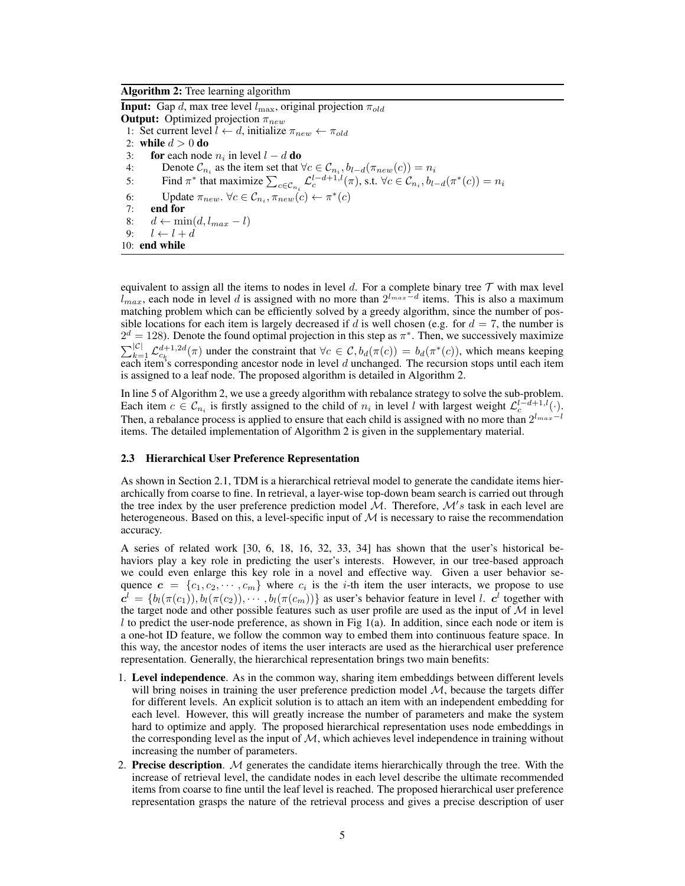Algorithm 2: Tree learning algorithm

**Input:** Gap d, max tree level  $l_{\text{max}}$ , original projection  $\pi_{old}$ **Output:** Optimized projection  $\pi_{new}$ 1: Set current level  $l \leftarrow d$ , initialize  $\pi_{new} \leftarrow \pi_{old}$ 2: while  $d > 0$  do 3: for each node  $n_i$  in level  $l - d$  do 4: Denote  $\mathcal{C}_{n_i}$  as the item set that  $\forall c \in \mathcal{C}_{n_i}, b_{l-d}(\pi_{new}(c)) = n_i$ 5: Find  $\pi^*$  that maximize  $\sum_{c \in \mathcal{C}_{n_i}} \mathcal{L}_c^{l-d+1,l}(\pi)$ , s.t.  $\forall c \in \mathcal{C}_{n_i}, b_{l-d}(\pi^*(c)) = n_i$ 6: Update  $\pi_{new}$ .  $\forall c \in C_{n_i}, \pi_{new}(c) \leftarrow \pi^*(c)$ 7: end for 8:  $d \leftarrow \min(d, l_{max} - l)$ 9:  $l \leftarrow l + d$ 10: end while

equivalent to assign all the items to nodes in level  $d$ . For a complete binary tree  $\mathcal T$  with max level  $l_{max}$ , each node in level d is assigned with no more than  $2^{l_{max}-d}$  items. This is also a maximum matching problem which can be efficiently solved by a greedy algorithm, since the number of possible locations for each item is largely decreased if d is well chosen (e.g. for  $d = 7$ , the number is  $2^d = 128$ ). Denote the found optimal projection in this step as  $\pi^*$ . Then, we successively maximize  $\sum_{k=1}^{\lvert\mathcal{C}\rvert} \mathcal{L}_{c_k}^{d+1,2d}(\pi)$  under the constraint that  $\forall c \in \mathcal{C}, b_d(\pi(c)) = b_d(\pi^*(c))$ , which means keeping each item's corresponding ancestor node in level  $d$  unchanged. The recursion stops until each item is assigned to a leaf node. The proposed algorithm is detailed in Algorithm 2.

In line 5 of Algorithm 2, we use a greedy algorithm with rebalance strategy to solve the sub-problem. Each item  $c \in \mathcal{C}_{n_i}$  is firstly assigned to the child of  $n_i$  in level l with largest weight  $\mathcal{L}_c^{l-d+1,l}(\cdot)$ . Then, a rebalance process is applied to ensure that each child is assigned with no more than  $2^{l_{max}-l}$ items. The detailed implementation of Algorithm 2 is given in the supplementary material.

### 2.3 Hierarchical User Preference Representation

As shown in Section 2.1, TDM is a hierarchical retrieval model to generate the candidate items hierarchically from coarse to fine. In retrieval, a layer-wise top-down beam search is carried out through the tree index by the user preference prediction model  $\mathcal M$ . Therefore,  $\mathcal M/s$  task in each level are heterogeneous. Based on this, a level-specific input of  $M$  is necessary to raise the recommendation accuracy.

A series of related work [30, 6, 18, 16, 32, 33, 34] has shown that the user's historical behaviors play a key role in predicting the user's interests. However, in our tree-based approach we could even enlarge this key role in a novel and effective way. Given a user behavior sequence  $\mathbf{c} = \{c_1, c_2, \cdots, c_m\}$  where  $c_i$  is the *i*-th item the user interacts, we propose to use  $c^l = \{b_l(\pi(c_1)), b_l(\pi(c_2)), \cdots, b_l(\pi(c_m))\}$  as user's behavior feature in level l.  $c^l$  together with the target node and other possible features such as user profile are used as the input of  $M$  in level  $l$  to predict the user-node preference, as shown in Fig 1(a). In addition, since each node or item is a one-hot ID feature, we follow the common way to embed them into continuous feature space. In this way, the ancestor nodes of items the user interacts are used as the hierarchical user preference representation. Generally, the hierarchical representation brings two main benefits:

- 1. Level independence. As in the common way, sharing item embeddings between different levels will bring noises in training the user preference prediction model  $M$ , because the targets differ for different levels. An explicit solution is to attach an item with an independent embedding for each level. However, this will greatly increase the number of parameters and make the system hard to optimize and apply. The proposed hierarchical representation uses node embeddings in the corresponding level as the input of  $M$ , which achieves level independence in training without increasing the number of parameters.
- 2. Precise description.  $M$  generates the candidate items hierarchically through the tree. With the increase of retrieval level, the candidate nodes in each level describe the ultimate recommended items from coarse to fine until the leaf level is reached. The proposed hierarchical user preference representation grasps the nature of the retrieval process and gives a precise description of user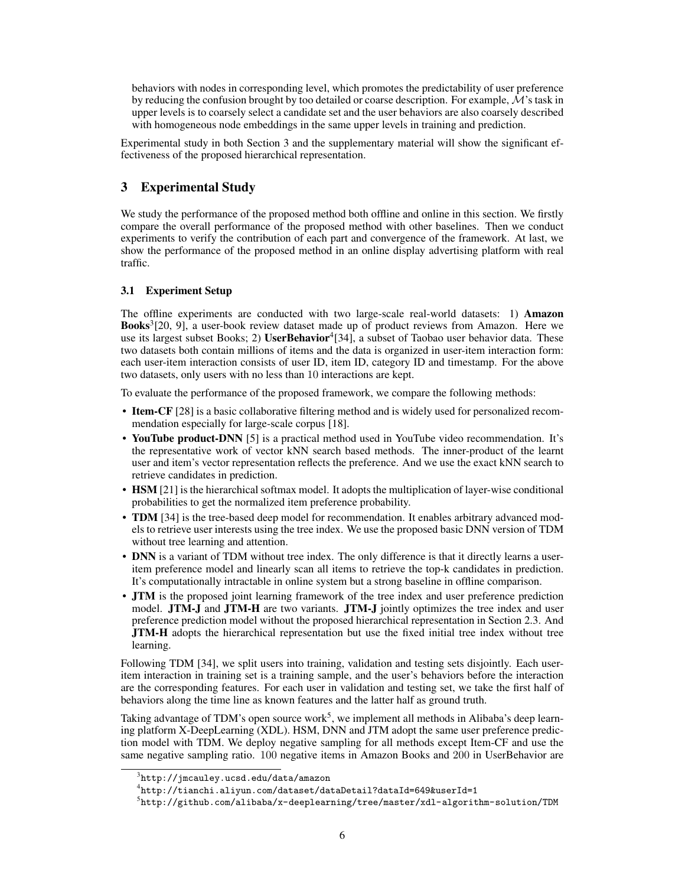behaviors with nodes in corresponding level, which promotes the predictability of user preference by reducing the confusion brought by too detailed or coarse description. For example,  $\mathcal{M}$ 's task in upper levels is to coarsely select a candidate set and the user behaviors are also coarsely described with homogeneous node embeddings in the same upper levels in training and prediction.

Experimental study in both Section 3 and the supplementary material will show the significant effectiveness of the proposed hierarchical representation.

# 3 Experimental Study

We study the performance of the proposed method both offline and online in this section. We firstly compare the overall performance of the proposed method with other baselines. Then we conduct experiments to verify the contribution of each part and convergence of the framework. At last, we show the performance of the proposed method in an online display advertising platform with real traffic.

## 3.1 Experiment Setup

The offline experiments are conducted with two large-scale real-world datasets: 1) Amazon Books<sup>3</sup>[20, 9], a user-book review dataset made up of product reviews from Amazon. Here we use its largest subset Books; 2) UserBehavior<sup>4</sup>[34], a subset of Taobao user behavior data. These two datasets both contain millions of items and the data is organized in user-item interaction form: each user-item interaction consists of user ID, item ID, category ID and timestamp. For the above two datasets, only users with no less than 10 interactions are kept.

To evaluate the performance of the proposed framework, we compare the following methods:

- Item-CF [28] is a basic collaborative filtering method and is widely used for personalized recommendation especially for large-scale corpus [18].
- YouTube product-DNN [5] is a practical method used in YouTube video recommendation. It's the representative work of vector kNN search based methods. The inner-product of the learnt user and item's vector representation reflects the preference. And we use the exact kNN search to retrieve candidates in prediction.
- HSM [21] is the hierarchical softmax model. It adopts the multiplication of layer-wise conditional probabilities to get the normalized item preference probability.
- **TDM** [34] is the tree-based deep model for recommendation. It enables arbitrary advanced models to retrieve user interests using the tree index. We use the proposed basic DNN version of TDM without tree learning and attention.
- DNN is a variant of TDM without tree index. The only difference is that it directly learns a useritem preference model and linearly scan all items to retrieve the top-k candidates in prediction. It's computationally intractable in online system but a strong baseline in offline comparison.
- JTM is the proposed joint learning framework of the tree index and user preference prediction model. JTM-J and JTM-H are two variants. JTM-J jointly optimizes the tree index and user preference prediction model without the proposed hierarchical representation in Section 2.3. And JTM-H adopts the hierarchical representation but use the fixed initial tree index without tree learning.

Following TDM [34], we split users into training, validation and testing sets disjointly. Each useritem interaction in training set is a training sample, and the user's behaviors before the interaction are the corresponding features. For each user in validation and testing set, we take the first half of behaviors along the time line as known features and the latter half as ground truth.

Taking advantage of TDM's open source work<sup>5</sup>, we implement all methods in Alibaba's deep learning platform X-DeepLearning (XDL). HSM, DNN and JTM adopt the same user preference prediction model with TDM. We deploy negative sampling for all methods except Item-CF and use the same negative sampling ratio. 100 negative items in Amazon Books and 200 in UserBehavior are

 $^3$ http://jmcauley.ucsd.edu/data/amazon

 $^4$ http://tianchi.aliyun.com/dataset/dataDetail?dataId=649&userId=1

 $^5$ http://github.com/alibaba/x-deeplearning/tree/master/xdl-algorithm-solution/TDM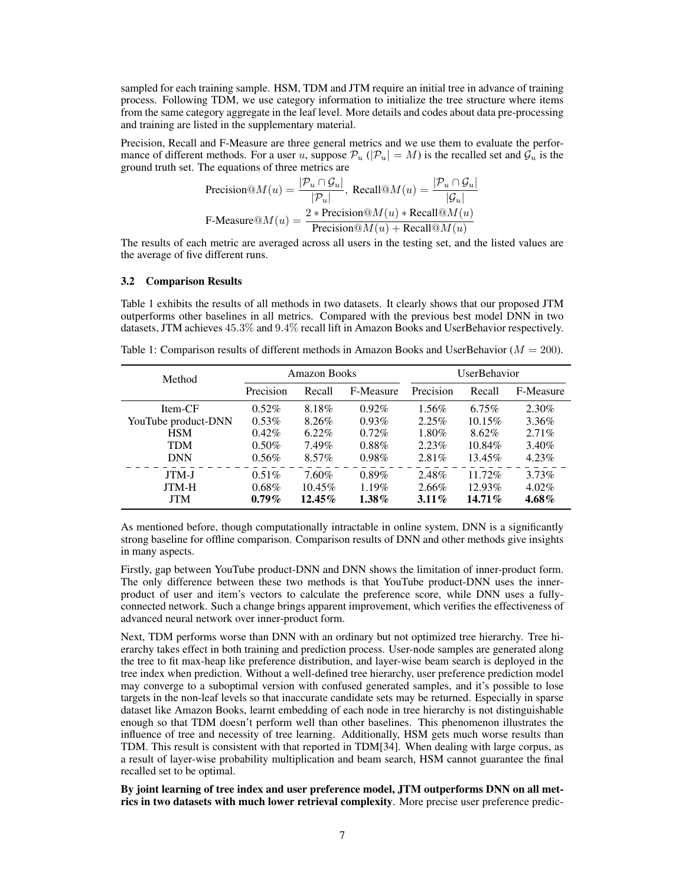sampled for each training sample. HSM, TDM and JTM require an initial tree in advance of training process. Following TDM, we use category information to initialize the tree structure where items from the same category aggregate in the leaf level. More details and codes about data pre-processing and training are listed in the supplementary material.

Precision, Recall and F-Measure are three general metrics and we use them to evaluate the performance of different methods. For a user u, suppose  $\mathcal{P}_u$  ( $|\mathcal{P}_u| = M$ ) is the recalled set and  $\mathcal{G}_u$  is the ground truth set. The equations of three metrics are

$$
\text{Precision}@M(u) = \frac{|\mathcal{P}_u \cap \mathcal{G}_u|}{|\mathcal{P}_u|}, \text{ Recall}@M(u) = \frac{|\mathcal{P}_u \cap \mathcal{G}_u|}{|\mathcal{G}_u|}
$$
\n
$$
\text{F-Measure@}M(u) = \frac{2 * \text{Precision}@M(u) * \text{Recall}@M(u)}{\text{Precision}@M(u) + \text{Recall}@M(u)}
$$

The results of each metric are averaged across all users in the testing set, and the listed values are the average of five different runs.

### 3.2 Comparison Results

Table 1 exhibits the results of all methods in two datasets. It clearly shows that our proposed JTM outperforms other baselines in all metrics. Compared with the previous best model DNN in two datasets, JTM achieves 45.3% and 9.4% recall lift in Amazon Books and UserBehavior respectively.

Table 1: Comparison results of different methods in Amazon Books and UserBehavior ( $M = 200$ ).

| Method              | <b>Amazon Books</b> |           |           | <b>UserBehavior</b> |           |           |
|---------------------|---------------------|-----------|-----------|---------------------|-----------|-----------|
|                     | Precision           | Recall    | F-Measure | Precision           | Recall    | F-Measure |
| Item-CF             | $0.52\%$            | 8.18%     | $0.92\%$  | $1.56\%$            | $6.75\%$  | $2.30\%$  |
| YouTube product-DNN | $0.53\%$            | 8.26%     | $0.93\%$  | 2.25%               | $10.15\%$ | 3.36%     |
| <b>HSM</b>          | $0.42\%$            | $6.22\%$  | $0.72\%$  | $1.80\%$            | 8.62%     | 2.71%     |
| TDM                 | $0.50\%$            | 7.49%     | $0.88\%$  | 2.23%               | 10.84%    | $3.40\%$  |
| <b>DNN</b>          | $0.56\%$            | $8.57\%$  | $0.98\%$  | 2.81%               | 13.45%    | 4.23%     |
| JTM-J               | $0.51\%$            | 7.60%     | 0.89%     | 2.48%               | 11.72%    | $3.73\%$  |
| JTM-H               | $0.68\%$            | $10.45\%$ | $1.19\%$  | $2.66\%$            | 12.93%    | $4.02\%$  |
| <b>JTM</b>          | $0.79\%$            | $12.45\%$ | $1.38\%$  | $3.11\%$            | $14.71\%$ | $4.68\%$  |

As mentioned before, though computationally intractable in online system, DNN is a significantly strong baseline for offline comparison. Comparison results of DNN and other methods give insights in many aspects.

Firstly, gap between YouTube product-DNN and DNN shows the limitation of inner-product form. The only difference between these two methods is that YouTube product-DNN uses the innerproduct of user and item's vectors to calculate the preference score, while DNN uses a fullyconnected network. Such a change brings apparent improvement, which verifies the effectiveness of advanced neural network over inner-product form.

Next, TDM performs worse than DNN with an ordinary but not optimized tree hierarchy. Tree hierarchy takes effect in both training and prediction process. User-node samples are generated along the tree to fit max-heap like preference distribution, and layer-wise beam search is deployed in the tree index when prediction. Without a well-defined tree hierarchy, user preference prediction model may converge to a suboptimal version with confused generated samples, and it's possible to lose targets in the non-leaf levels so that inaccurate candidate sets may be returned. Especially in sparse dataset like Amazon Books, learnt embedding of each node in tree hierarchy is not distinguishable enough so that TDM doesn't perform well than other baselines. This phenomenon illustrates the influence of tree and necessity of tree learning. Additionally, HSM gets much worse results than TDM. This result is consistent with that reported in TDM[34]. When dealing with large corpus, as a result of layer-wise probability multiplication and beam search, HSM cannot guarantee the final recalled set to be optimal.

By joint learning of tree index and user preference model, JTM outperforms DNN on all metrics in two datasets with much lower retrieval complexity. More precise user preference predic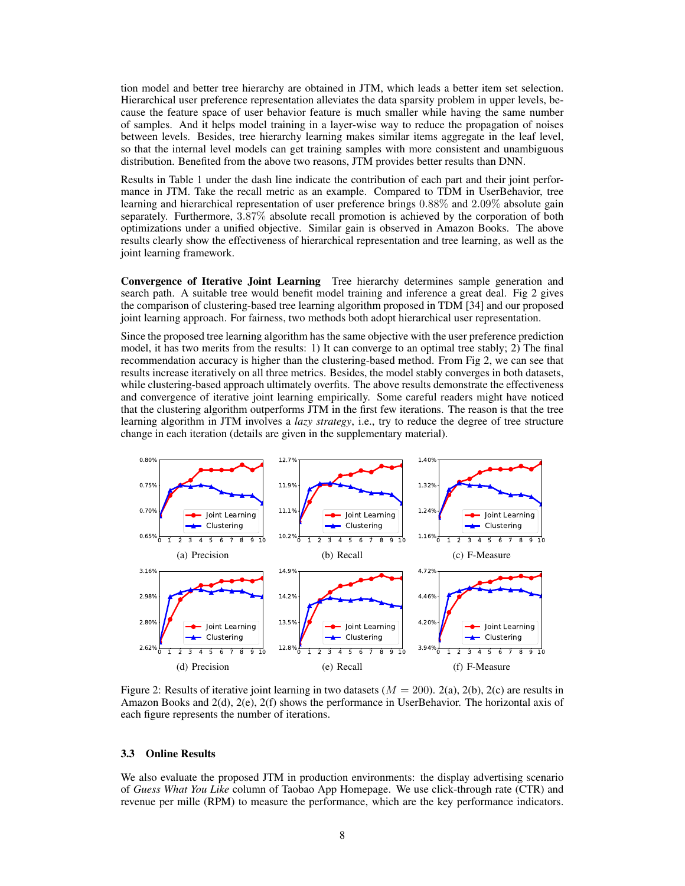tion model and better tree hierarchy are obtained in JTM, which leads a better item set selection. Hierarchical user preference representation alleviates the data sparsity problem in upper levels, because the feature space of user behavior feature is much smaller while having the same number of samples. And it helps model training in a layer-wise way to reduce the propagation of noises between levels. Besides, tree hierarchy learning makes similar items aggregate in the leaf level, so that the internal level models can get training samples with more consistent and unambiguous distribution. Benefited from the above two reasons, JTM provides better results than DNN.

Results in Table 1 under the dash line indicate the contribution of each part and their joint performance in JTM. Take the recall metric as an example. Compared to TDM in UserBehavior, tree learning and hierarchical representation of user preference brings 0.88% and 2.09% absolute gain separately. Furthermore, 3.87% absolute recall promotion is achieved by the corporation of both optimizations under a unified objective. Similar gain is observed in Amazon Books. The above results clearly show the effectiveness of hierarchical representation and tree learning, as well as the joint learning framework.

Convergence of Iterative Joint Learning Tree hierarchy determines sample generation and search path. A suitable tree would benefit model training and inference a great deal. Fig 2 gives the comparison of clustering-based tree learning algorithm proposed in TDM [34] and our proposed joint learning approach. For fairness, two methods both adopt hierarchical user representation.

Since the proposed tree learning algorithm has the same objective with the user preference prediction model, it has two merits from the results: 1) It can converge to an optimal tree stably; 2) The final recommendation accuracy is higher than the clustering-based method. From Fig 2, we can see that results increase iteratively on all three metrics. Besides, the model stably converges in both datasets, while clustering-based approach ultimately overfits. The above results demonstrate the effectiveness and convergence of iterative joint learning empirically. Some careful readers might have noticed that the clustering algorithm outperforms JTM in the first few iterations. The reason is that the tree learning algorithm in JTM involves a *lazy strategy*, i.e., try to reduce the degree of tree structure change in each iteration (details are given in the supplementary material).



Figure 2: Results of iterative joint learning in two datasets  $(M = 200)$ . 2(a), 2(b), 2(c) are results in Amazon Books and 2(d), 2(e), 2(f) shows the performance in UserBehavior. The horizontal axis of each figure represents the number of iterations.

### 3.3 Online Results

We also evaluate the proposed JTM in production environments: the display advertising scenario of *Guess What You Like* column of Taobao App Homepage. We use click-through rate (CTR) and revenue per mille (RPM) to measure the performance, which are the key performance indicators.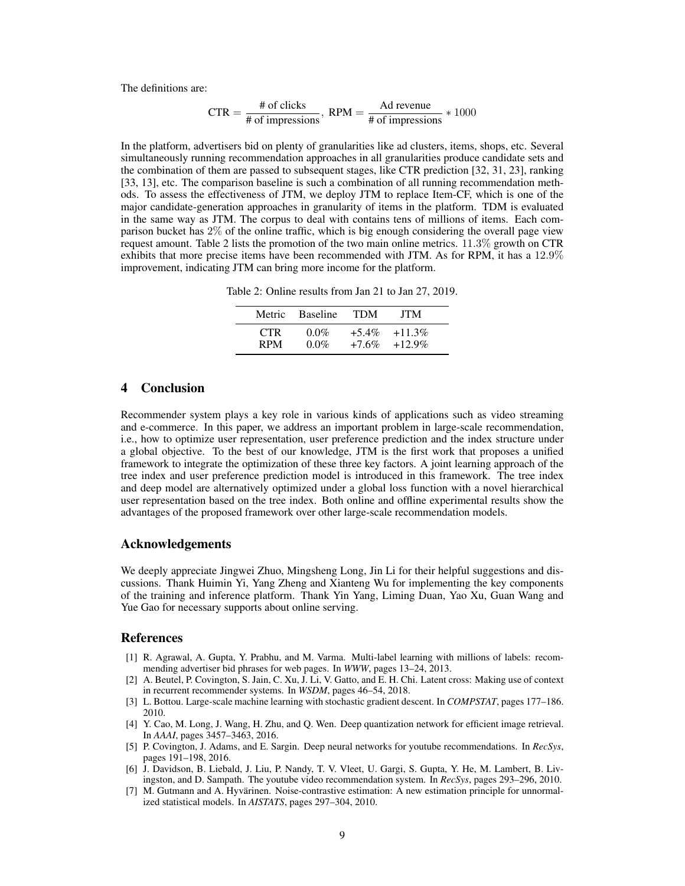The definitions are:

$$
CTR = \frac{\text{\# of clicks}}{\text{\# of inversions}}, \text{ RPM} = \frac{Ad \text{ revenue}}{\text{\# of inversions}} \times 1000
$$

In the platform, advertisers bid on plenty of granularities like ad clusters, items, shops, etc. Several simultaneously running recommendation approaches in all granularities produce candidate sets and the combination of them are passed to subsequent stages, like CTR prediction [32, 31, 23], ranking [33, 13], etc. The comparison baseline is such a combination of all running recommendation methods. To assess the effectiveness of JTM, we deploy JTM to replace Item-CF, which is one of the major candidate-generation approaches in granularity of items in the platform. TDM is evaluated in the same way as JTM. The corpus to deal with contains tens of millions of items. Each comparison bucket has 2% of the online traffic, which is big enough considering the overall page view request amount. Table 2 lists the promotion of the two main online metrics. 11.3% growth on CTR exhibits that more precise items have been recommended with JTM. As for RPM, it has a 12.9% improvement, indicating JTM can bring more income for the platform.

Table 2: Online results from Jan 21 to Jan 27, 2019.

|            | Metric Baseline | <b>TDM</b> | <b>JTM</b> |  |
|------------|-----------------|------------|------------|--|
| CTR.       | $0.0\%$         | $+5.4\%$   | $+11.3\%$  |  |
| <b>RPM</b> | $0.0\%$         | $+7.6\%$   | $+12.9\%$  |  |

# 4 Conclusion

Recommender system plays a key role in various kinds of applications such as video streaming and e-commerce. In this paper, we address an important problem in large-scale recommendation, i.e., how to optimize user representation, user preference prediction and the index structure under a global objective. To the best of our knowledge, JTM is the first work that proposes a unified framework to integrate the optimization of these three key factors. A joint learning approach of the tree index and user preference prediction model is introduced in this framework. The tree index and deep model are alternatively optimized under a global loss function with a novel hierarchical user representation based on the tree index. Both online and offline experimental results show the advantages of the proposed framework over other large-scale recommendation models.

### Acknowledgements

We deeply appreciate Jingwei Zhuo, Mingsheng Long, Jin Li for their helpful suggestions and discussions. Thank Huimin Yi, Yang Zheng and Xianteng Wu for implementing the key components of the training and inference platform. Thank Yin Yang, Liming Duan, Yao Xu, Guan Wang and Yue Gao for necessary supports about online serving.

### References

- [1] R. Agrawal, A. Gupta, Y. Prabhu, and M. Varma. Multi-label learning with millions of labels: recommending advertiser bid phrases for web pages. In *WWW*, pages 13–24, 2013.
- [2] A. Beutel, P. Covington, S. Jain, C. Xu, J. Li, V. Gatto, and E. H. Chi. Latent cross: Making use of context in recurrent recommender systems. In *WSDM*, pages 46–54, 2018.
- [3] L. Bottou. Large-scale machine learning with stochastic gradient descent. In *COMPSTAT*, pages 177–186. 2010.
- [4] Y. Cao, M. Long, J. Wang, H. Zhu, and Q. Wen. Deep quantization network for efficient image retrieval. In *AAAI*, pages 3457–3463, 2016.
- [5] P. Covington, J. Adams, and E. Sargin. Deep neural networks for youtube recommendations. In *RecSys*, pages 191–198, 2016.
- [6] J. Davidson, B. Liebald, J. Liu, P. Nandy, T. V. Vleet, U. Gargi, S. Gupta, Y. He, M. Lambert, B. Livingston, and D. Sampath. The youtube video recommendation system. In *RecSys*, pages 293–296, 2010.
- [7] M. Gutmann and A. Hyvärinen. Noise-contrastive estimation: A new estimation principle for unnormalized statistical models. In *AISTATS*, pages 297–304, 2010.